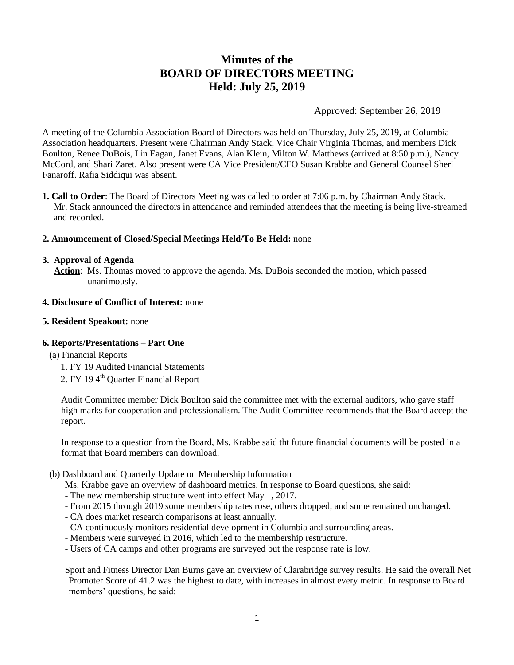# **Minutes of the BOARD OF DIRECTORS MEETING Held: July 25, 2019**

Approved: September 26, 2019

A meeting of the Columbia Association Board of Directors was held on Thursday, July 25, 2019, at Columbia Association headquarters. Present were Chairman Andy Stack, Vice Chair Virginia Thomas, and members Dick Boulton, Renee DuBois, Lin Eagan, Janet Evans, Alan Klein, Milton W. Matthews (arrived at 8:50 p.m.), Nancy McCord, and Shari Zaret. Also present were CA Vice President/CFO Susan Krabbe and General Counsel Sheri Fanaroff. Rafia Siddiqui was absent.

**1. Call to Order**: The Board of Directors Meeting was called to order at 7:06 p.m. by Chairman Andy Stack. Mr. Stack announced the directors in attendance and reminded attendees that the meeting is being live-streamed and recorded.

# **2. Announcement of Closed/Special Meetings Held/To Be Held:** none

#### **3. Approval of Agenda**

 **Action**: Ms. Thomas moved to approve the agenda. Ms. DuBois seconded the motion, which passed unanimously.

#### **4. Disclosure of Conflict of Interest:** none

#### **5. Resident Speakout:** none

# **6. Reports/Presentations – Part One**

- (a) Financial Reports
	- 1. FY 19 Audited Financial Statements
	- 2. FY 194<sup>th</sup> Quarter Financial Report

Audit Committee member Dick Boulton said the committee met with the external auditors, who gave staff high marks for cooperation and professionalism. The Audit Committee recommends that the Board accept the report.

In response to a question from the Board, Ms. Krabbe said tht future financial documents will be posted in a format that Board members can download.

#### (b) Dashboard and Quarterly Update on Membership Information

- Ms. Krabbe gave an overview of dashboard metrics. In response to Board questions, she said:
- The new membership structure went into effect May 1, 2017.
- From 2015 through 2019 some membership rates rose, others dropped, and some remained unchanged.
- CA does market research comparisons at least annually.
- CA continuously monitors residential development in Columbia and surrounding areas.
- Members were surveyed in 2016, which led to the membership restructure.
- Users of CA camps and other programs are surveyed but the response rate is low.

Sport and Fitness Director Dan Burns gave an overview of Clarabridge survey results. He said the overall Net Promoter Score of 41.2 was the highest to date, with increases in almost every metric. In response to Board members' questions, he said: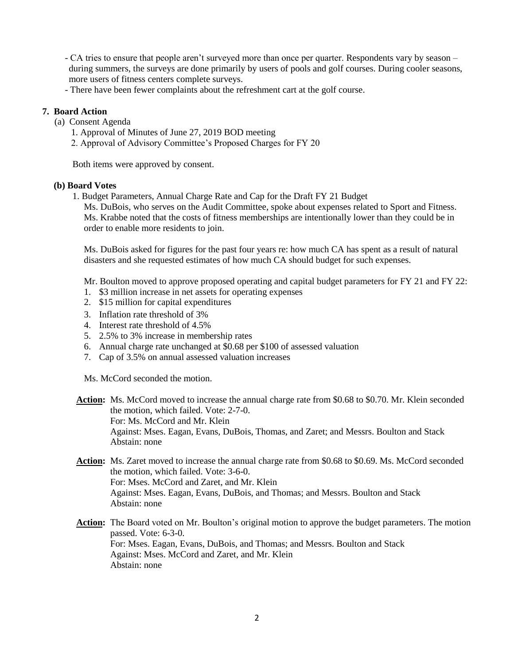- CA tries to ensure that people aren't surveyed more than once per quarter. Respondents vary by season – during summers, the surveys are done primarily by users of pools and golf courses. During cooler seasons, more users of fitness centers complete surveys.

- There have been fewer complaints about the refreshment cart at the golf course.

# **7. Board Action**

- (a) Consent Agenda
	- 1. Approval of Minutes of June 27, 2019 BOD meeting
	- 2. Approval of Advisory Committee's Proposed Charges for FY 20

Both items were approved by consent.

# **(b) Board Votes**

1. Budget Parameters, Annual Charge Rate and Cap for the Draft FY 21 Budget

Ms. DuBois, who serves on the Audit Committee, spoke about expenses related to Sport and Fitness. Ms. Krabbe noted that the costs of fitness memberships are intentionally lower than they could be in order to enable more residents to join.

Ms. DuBois asked for figures for the past four years re: how much CA has spent as a result of natural disasters and she requested estimates of how much CA should budget for such expenses.

Mr. Boulton moved to approve proposed operating and capital budget parameters for FY 21 and FY 22:

- 1. \$3 million increase in net assets for operating expenses
- 2. \$15 million for capital expenditures
- 3. Inflation rate threshold of 3%
- 4. Interest rate threshold of 4.5%
- 5. 2.5% to 3% increase in membership rates
- 6. Annual charge rate unchanged at \$0.68 per \$100 of assessed valuation
- 7. Cap of 3.5% on annual assessed valuation increases

Ms. McCord seconded the motion.

- **Action:** Ms. McCord moved to increase the annual charge rate from \$0.68 to \$0.70. Mr. Klein seconded the motion, which failed. Vote: 2-7-0. For: Ms. McCord and Mr. Klein Against: Mses. Eagan, Evans, DuBois, Thomas, and Zaret; and Messrs. Boulton and Stack Abstain: none
- **Action:** Ms. Zaret moved to increase the annual charge rate from \$0.68 to \$0.69. Ms. McCord seconded the motion, which failed. Vote: 3-6-0. For: Mses. McCord and Zaret, and Mr. Klein Against: Mses. Eagan, Evans, DuBois, and Thomas; and Messrs. Boulton and Stack Abstain: none
- **Action:** The Board voted on Mr. Boulton's original motion to approve the budget parameters. The motion passed. Vote: 6-3-0. For: Mses. Eagan, Evans, DuBois, and Thomas; and Messrs. Boulton and Stack Against: Mses. McCord and Zaret, and Mr. Klein Abstain: none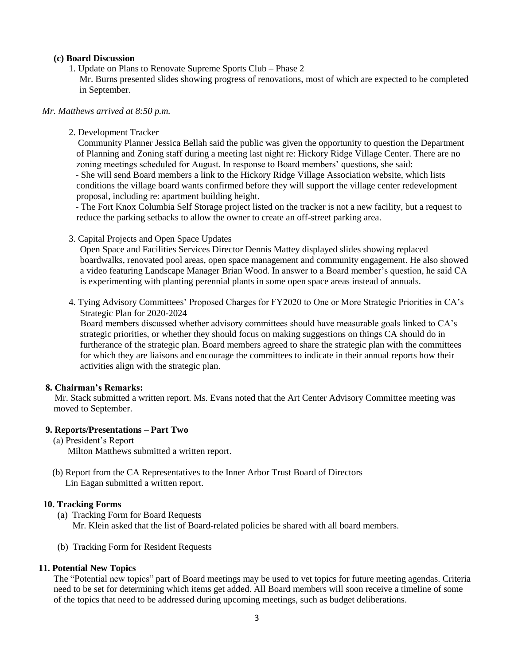#### **(c) Board Discussion**

- 1. Update on Plans to Renovate Supreme Sports Club Phase 2
- Mr. Burns presented slides showing progress of renovations, most of which are expected to be completed in September.

#### *Mr. Matthews arrived at 8:50 p.m.*

2. Development Tracker

 Community Planner Jessica Bellah said the public was given the opportunity to question the Department of Planning and Zoning staff during a meeting last night re: Hickory Ridge Village Center. There are no zoning meetings scheduled for August. In response to Board members' questions, she said:

 - She will send Board members a link to the Hickory Ridge Village Association website, which lists conditions the village board wants confirmed before they will support the village center redevelopment proposal, including re: apartment building height.

 - The Fort Knox Columbia Self Storage project listed on the tracker is not a new facility, but a request to reduce the parking setbacks to allow the owner to create an off-street parking area.

3. Capital Projects and Open Space Updates

Open Space and Facilities Services Director Dennis Mattey displayed slides showing replaced boardwalks, renovated pool areas, open space management and community engagement. He also showed a video featuring Landscape Manager Brian Wood. In answer to a Board member's question, he said CA is experimenting with planting perennial plants in some open space areas instead of annuals.

4. Tying Advisory Committees' Proposed Charges for FY2020 to One or More Strategic Priorities in CA's Strategic Plan for 2020-2024

 Board members discussed whether advisory committees should have measurable goals linked to CA's strategic priorities, or whether they should focus on making suggestions on things CA should do in furtherance of the strategic plan. Board members agreed to share the strategic plan with the committees for which they are liaisons and encourage the committees to indicate in their annual reports how their activities align with the strategic plan.

# **8. Chairman's Remarks:**

 Mr. Stack submitted a written report. Ms. Evans noted that the Art Center Advisory Committee meeting was moved to September.

#### **9. Reports/Presentations – Part Two**

(a) President's Report

Milton Matthews submitted a written report.

 (b) Report from the CA Representatives to the Inner Arbor Trust Board of Directors Lin Eagan submitted a written report.

# **10. Tracking Forms**

(a) Tracking Form for Board Requests Mr. Klein asked that the list of Board-related policies be shared with all board members.

(b) Tracking Form for Resident Requests

# **11. Potential New Topics**

The "Potential new topics" part of Board meetings may be used to vet topics for future meeting agendas. Criteria need to be set for determining which items get added. All Board members will soon receive a timeline of some of the topics that need to be addressed during upcoming meetings, such as budget deliberations.